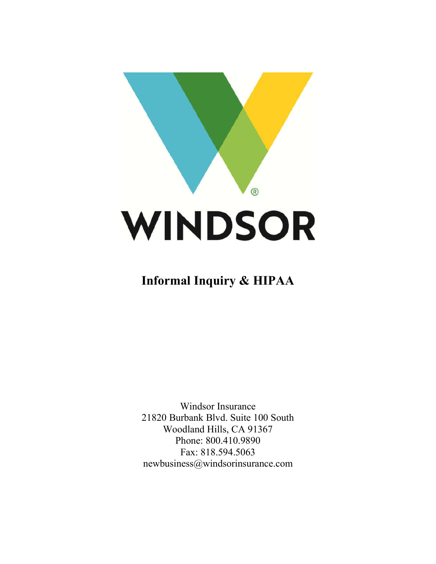

# **Informal Inquiry & HIPAA**

Windsor Insurance 21820 Burbank Blvd. Suite 100 South Woodland Hills, CA 91367 Phone: 800.410.9890 Fax: 818.594.5063 newbusiness@windsorinsurance.com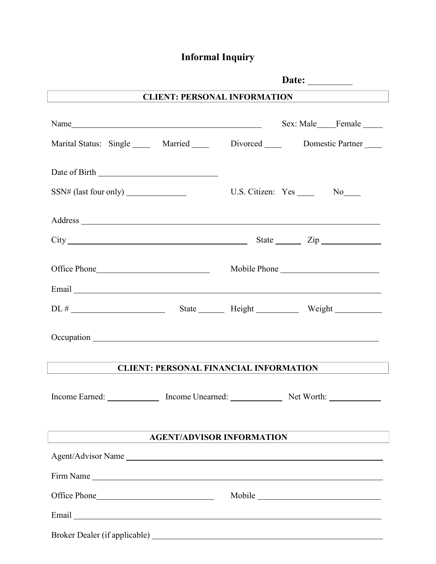## **Informal Inquiry**

|                                                                                                                                                                                                                                | Date: $\_\_$                     |  |  |  |
|--------------------------------------------------------------------------------------------------------------------------------------------------------------------------------------------------------------------------------|----------------------------------|--|--|--|
| <b>CLIENT: PERSONAL INFORMATION</b>                                                                                                                                                                                            |                                  |  |  |  |
| Name                                                                                                                                                                                                                           | Sex: Male____Female _____        |  |  |  |
| Marital Status: Single _____ Married _____ Divorced _____ Domestic Partner ____                                                                                                                                                |                                  |  |  |  |
|                                                                                                                                                                                                                                |                                  |  |  |  |
|                                                                                                                                                                                                                                | U.S. Citizen: Yes _______ No____ |  |  |  |
|                                                                                                                                                                                                                                |                                  |  |  |  |
|                                                                                                                                                                                                                                |                                  |  |  |  |
|                                                                                                                                                                                                                                |                                  |  |  |  |
| Email Land and the second state of the second state of the second state of the second state of the second state of the second state of the second state of the second state of the second state of the second state of the sec |                                  |  |  |  |
|                                                                                                                                                                                                                                |                                  |  |  |  |
|                                                                                                                                                                                                                                |                                  |  |  |  |
| <b>CLIENT: PERSONAL FINANCIAL INFORMATION</b>                                                                                                                                                                                  |                                  |  |  |  |
| Income Earned: Income Unearned: Net Worth: Net Worth:                                                                                                                                                                          |                                  |  |  |  |
| <b>AGENT/ADVISOR INFORMATION</b>                                                                                                                                                                                               |                                  |  |  |  |
| Agent/Advisor Name                                                                                                                                                                                                             |                                  |  |  |  |
|                                                                                                                                                                                                                                |                                  |  |  |  |
|                                                                                                                                                                                                                                |                                  |  |  |  |
|                                                                                                                                                                                                                                |                                  |  |  |  |
|                                                                                                                                                                                                                                |                                  |  |  |  |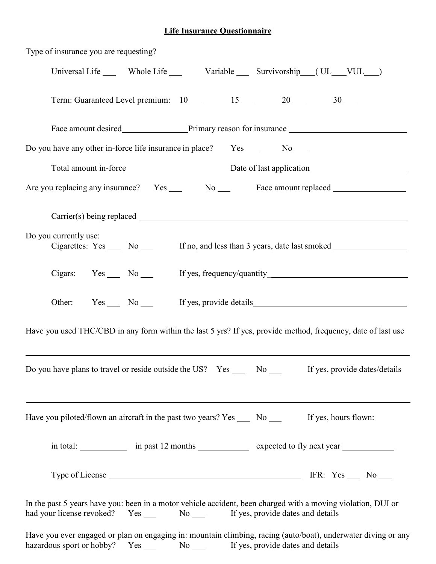## **Life Insurance Questionnaire**

| Type of insurance you are requesting?                                                                                                                                                                                          |
|--------------------------------------------------------------------------------------------------------------------------------------------------------------------------------------------------------------------------------|
| Universal Life _____ Whole Life ______ Variable _____ Survivorship ___(UL___VUL___)                                                                                                                                            |
| Term: Guaranteed Level premium: $10$ 15 20 30 30                                                                                                                                                                               |
|                                                                                                                                                                                                                                |
|                                                                                                                                                                                                                                |
|                                                                                                                                                                                                                                |
| Are you replacing any insurance? Yes _____ No _____ Face amount replaced ______________                                                                                                                                        |
| Carrier(s) being replaced example and the contract of the contract of the contract of the contract of the contract of the contract of the contract of the contract of the contract of the contract of the contract of the cont |
| Do you currently use:<br>Cigarettes: Yes _____ No _____ If no, and less than 3 years, date last smoked _____________________                                                                                                   |
|                                                                                                                                                                                                                                |
| Other: Yes No If yes, provide details                                                                                                                                                                                          |
| Have you used THC/CBD in any form within the last 5 yrs? If yes, provide method, frequency, date of last use                                                                                                                   |
| Do you have plans to travel or reside outside the US? Yes _____ No _____ If yes, provide dates/details                                                                                                                         |
| Have you piloted/flown an aircraft in the past two years? $Yes \_\_$ No $\_\_$<br>If yes, hours flown:                                                                                                                         |
| in total: _____________ in past 12 months ____________ expected to fly next year                                                                                                                                               |
|                                                                                                                                                                                                                                |
| In the past 5 years have you: been in a motor vehicle accident, been charged with a moving violation, DUI or<br>had your license revoked? Yes ______ No ______ If yes, provide dates and details                               |
| Have you ever engaged or plan on engaging in: mountain climbing, racing (auto/boat), underwater diving or any<br>hazardous sport or hobby? Yes _____ No _____ If yes, provide dates and details                                |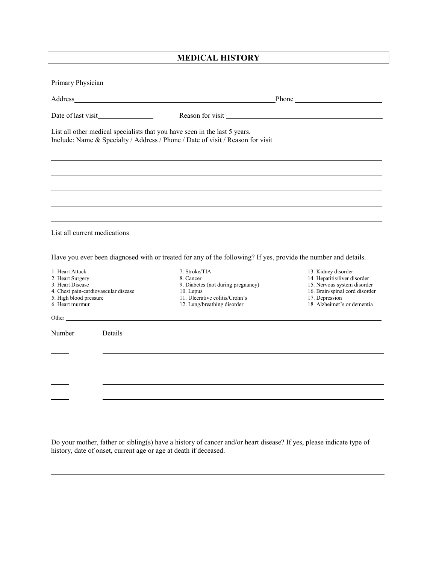## **MEDICAL HISTORY**

|                                                                                                                                              |                                                                                                                                                                                                                                | Phone has a manufactured by the set of the set of the set of the set of the set of the set of the set of the set of the set of the set of the set of the set of the set of the set of the set of the set of the set of the set |  |  |
|----------------------------------------------------------------------------------------------------------------------------------------------|--------------------------------------------------------------------------------------------------------------------------------------------------------------------------------------------------------------------------------|--------------------------------------------------------------------------------------------------------------------------------------------------------------------------------------------------------------------------------|--|--|
|                                                                                                                                              |                                                                                                                                                                                                                                | Reason for visit                                                                                                                                                                                                               |  |  |
|                                                                                                                                              | List all other medical specialists that you have seen in the last 5 years.<br>Include: Name & Specialty / Address / Phone / Date of visit / Reason for visit                                                                   |                                                                                                                                                                                                                                |  |  |
|                                                                                                                                              |                                                                                                                                                                                                                                |                                                                                                                                                                                                                                |  |  |
|                                                                                                                                              |                                                                                                                                                                                                                                |                                                                                                                                                                                                                                |  |  |
|                                                                                                                                              |                                                                                                                                                                                                                                |                                                                                                                                                                                                                                |  |  |
|                                                                                                                                              |                                                                                                                                                                                                                                |                                                                                                                                                                                                                                |  |  |
|                                                                                                                                              | Have you ever been diagnosed with or treated for any of the following? If yes, provide the number and details.                                                                                                                 |                                                                                                                                                                                                                                |  |  |
| 1. Heart Attack<br>2. Heart Surgery<br>3. Heart Disease<br>4. Chest pain-cardiovascular disease<br>5. High blood pressure<br>6. Heart murmur | 7. Stroke/TIA<br>8. Cancer<br>9. Diabetes (not during pregnancy)<br>10. Lupus<br>11. Ulcerative colitis/Crohn's<br>12. Lung/breathing disorder                                                                                 | 13. Kidney disorder<br>14. Hepatitis/liver disorder<br>15. Nervous system disorder<br>16. Brain/spinal cord disorder<br>17. Depression<br>18. Alzheimer's or dementia                                                          |  |  |
|                                                                                                                                              | Other that the contract of the contract of the contract of the contract of the contract of the contract of the contract of the contract of the contract of the contract of the contract of the contract of the contract of the |                                                                                                                                                                                                                                |  |  |
| Details<br>Number                                                                                                                            |                                                                                                                                                                                                                                |                                                                                                                                                                                                                                |  |  |
|                                                                                                                                              |                                                                                                                                                                                                                                |                                                                                                                                                                                                                                |  |  |
|                                                                                                                                              |                                                                                                                                                                                                                                |                                                                                                                                                                                                                                |  |  |
|                                                                                                                                              |                                                                                                                                                                                                                                |                                                                                                                                                                                                                                |  |  |
|                                                                                                                                              |                                                                                                                                                                                                                                |                                                                                                                                                                                                                                |  |  |

Do your mother, father or sibling(s) have a history of cancer and/or heart disease? If yes, please indicate type of history, date of onset, current age or age at death if deceased.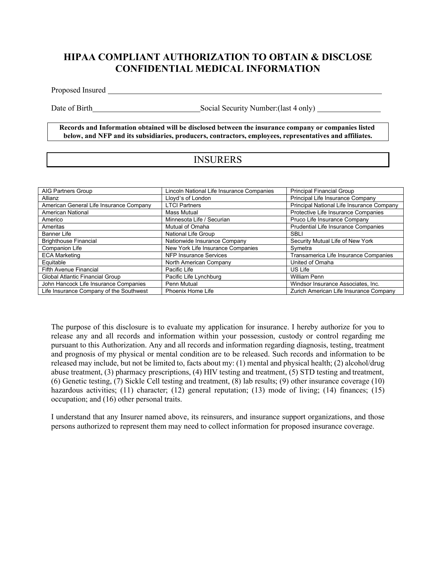## **HIPAA COMPLIANT AUTHORIZATION TO OBTAIN & DISCLOSE CONFIDENTIAL MEDICAL INFORMATION**

Proposed Insured **Exercise 2018 Proposed Insured** 

Date of Birth Social Security Number:(last 4 only)

**Records and Information obtained will be disclosed between the insurance company or companies listed below, and NFP and its subsidiaries, producers, contractors, employees, representatives and affiliates.**

## INSURERS

| AIG Partners Group                      | Lincoln National Life Insurance Companies | <b>Principal Financial Group</b>          |
|-----------------------------------------|-------------------------------------------|-------------------------------------------|
| Allianz                                 | Lloyd's of London                         | Principal Life Insurance Company          |
| American General Life Insurance Company | <b>LTCI Partners</b>                      | Principal National Life Insurance Company |
| <b>American National</b>                | <b>Mass Mutual</b>                        | Protective Life Insurance Companies       |
| Americo                                 | Minnesota Life / Securian                 | Pruco Life Insurance Company              |
| Ameritas                                | Mutual of Omaha                           | Prudential Life Insurance Companies       |
| <b>Banner Life</b>                      | National Life Group                       | <b>SBLI</b>                               |
| <b>Brighthouse Financial</b>            | Nationwide Insurance Company              | Security Mutual Life of New York          |
| <b>Companion Life</b>                   | New York Life Insurance Companies         | Symetra                                   |
| <b>ECA Marketing</b>                    | NFP Insurance Services                    | Transamerica Life Insurance Companies     |
| Equitable                               | North American Company                    | United of Omaha                           |
| Fifth Avenue Financial                  | Pacific Life                              | US Life                                   |
| Global Atlantic Financial Group         | Pacific Life Lynchburg                    | <b>William Penn</b>                       |
| John Hancock Life Insurance Companies   | Penn Mutual                               | Windsor Insurance Associates, Inc.        |
| Life Insurance Company of the Southwest | Phoenix Home Life                         | Zurich American Life Insurance Company    |

The purpose of this disclosure is to evaluate my application for insurance. I hereby authorize for you to release any and all records and information within your possession, custody or control regarding me pursuant to this Authorization. Any and all records and information regarding diagnosis, testing, treatment and prognosis of my physical or mental condition are to be released. Such records and information to be released may include, but not be limited to, facts about my: (1) mental and physical health; (2) alcohol/drug abuse treatment, (3) pharmacy prescriptions, (4) HIV testing and treatment, (5) STD testing and treatment, (6) Genetic testing, (7) Sickle Cell testing and treatment, (8) lab results; (9) other insurance coverage (10) hazardous activities; (11) character; (12) general reputation; (13) mode of living; (14) finances; (15) occupation; and (16) other personal traits.

I understand that any Insurer named above, its reinsurers, and insurance support organizations, and those persons authorized to represent them may need to collect information for proposed insurance coverage.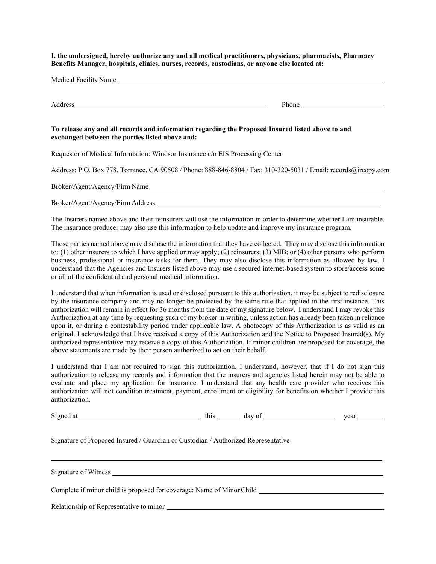**I, the undersigned, hereby authorize any and all medical practitioners, physicians, pharmacists, Pharmacy Benefits Manager, hospitals, clinics, nurses, records, custodians, or anyone else located at:**

| Medical Facility Name |       |
|-----------------------|-------|
| Address               | Phone |

#### **To release any and all records and information regarding the Proposed Insured listed above to and exchanged between the parties listed above and:**

Requestor of Medical Information: Windsor Insurance c/o EIS Processing Center

Address: P.O. Box 778, Torrance, CA 90508 / Phone: 888-846-8804 / Fax: 310-320-5031 / Email: records@ircopy.com

Broker/Agent/Agency/Firm Name

Broker/Agent/Agency/Firm Address

The Insurers named above and their reinsurers will use the information in order to determine whether I am insurable. The insurance producer may also use this information to help update and improve my insurance program.

Those parties named above may disclose the information that they have collected. They may disclose this information to: (1) other insurers to which I have applied or may apply; (2) reinsurers; (3) MIB; or (4) other persons who perform business, professional or insurance tasks for them. They may also disclose this information as allowed by law. I understand that the Agencies and Insurers listed above may use a secured internet-based system to store/access some or all of the confidential and personal medical information.

I understand that when information is used or disclosed pursuant to this authorization, it may be subject to redisclosure by the insurance company and may no longer be protected by the same rule that applied in the first instance. This authorization will remain in effect for 36 months from the date of my signature below. I understand I may revoke this Authorization at any time by requesting such of my broker in writing, unless action has already been taken in reliance upon it, or during a contestability period under applicable law. A photocopy of this Authorization is as valid as an original. I acknowledge that I have received a copy of this Authorization and the Notice to Proposed Insured(s). My authorized representative may receive a copy of this Authorization. If minor children are proposed for coverage, the above statements are made by their person authorized to act on their behalf.

I understand that I am not required to sign this authorization. I understand, however, that if I do not sign this authorization to release my records and information that the insurers and agencies listed herein may not be able to evaluate and place my application for insurance. I understand that any health care provider who receives this authorization will not condition treatment, payment, enrollment or eligibility for benefits on whether I provide this authorization.

Signed at this day of year

Signature of Proposed Insured / Guardian or Custodian / Authorized Representative

Signature of Witness

Complete if minor child is proposed for coverage: Name of MinorChild

Relationship of Representative to minor